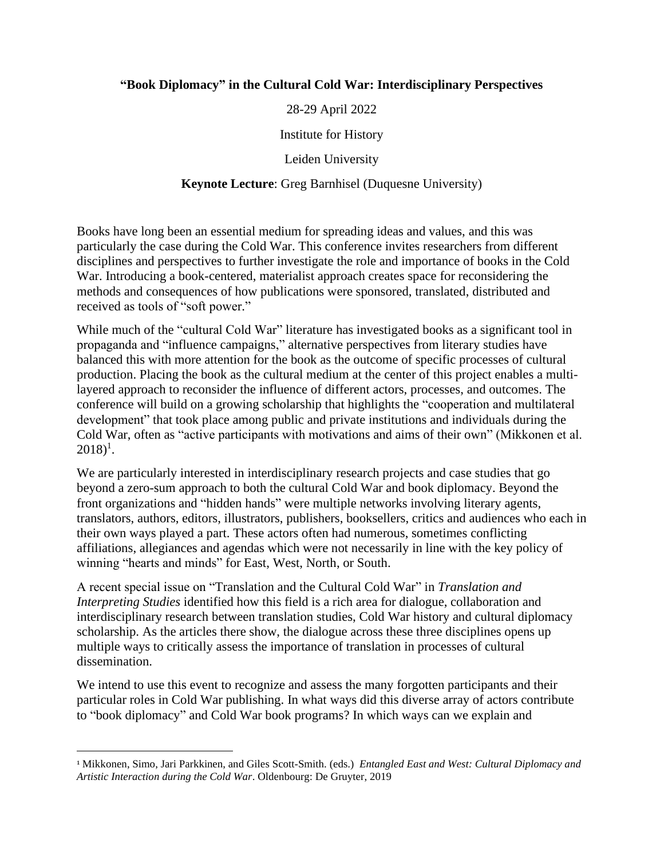### **"Book Diplomacy" in the Cultural Cold War: Interdisciplinary Perspectives**

28-29 April 2022

Institute for History

Leiden University

#### **Keynote Lecture**: Greg Barnhisel (Duquesne University)

Books have long been an essential medium for spreading ideas and values, and this was particularly the case during the Cold War. This conference invites researchers from different disciplines and perspectives to further investigate the role and importance of books in the Cold War. Introducing a book-centered, materialist approach creates space for reconsidering the methods and consequences of how publications were sponsored, translated, distributed and received as tools of "soft power."

While much of the "cultural Cold War" literature has investigated books as a significant tool in propaganda and "influence campaigns," alternative perspectives from literary studies have balanced this with more attention for the book as the outcome of specific processes of cultural production. Placing the book as the cultural medium at the center of this project enables a multilayered approach to reconsider the influence of different actors, processes, and outcomes. The conference will build on a growing scholarship that highlights the "cooperation and multilateral development" that took place among public and private institutions and individuals during the Cold War, often as "active participants with motivations and aims of their own" (Mikkonen et al.  $2018$ <sup>1</sup>.

We are particularly interested in interdisciplinary research projects and case studies that go beyond a zero-sum approach to both the cultural Cold War and book diplomacy. Beyond the front organizations and "hidden hands" were multiple networks involving literary agents, translators, authors, editors, illustrators, publishers, booksellers, critics and audiences who each in their own ways played a part. These actors often had numerous, sometimes conflicting affiliations, allegiances and agendas which were not necessarily in line with the key policy of winning "hearts and minds" for East, West, North, or South.

A recent special issue on "Translation and the Cultural Cold War" in *Translation and Interpreting Studies* identified how this field is a rich area for dialogue, collaboration and interdisciplinary research between translation studies, Cold War history and cultural diplomacy scholarship. As the articles there show, the dialogue across these three disciplines opens up multiple ways to critically assess the importance of translation in processes of cultural dissemination.

We intend to use this event to recognize and assess the many forgotten participants and their particular roles in Cold War publishing. In what ways did this diverse array of actors contribute to "book diplomacy" and Cold War book programs? In which ways can we explain and

<sup>1</sup> Mikkonen, Simo, Jari Parkkinen, and Giles Scott-Smith. (eds.) *Entangled East and West: Cultural Diplomacy and Artistic Interaction during the Cold War*. Oldenbourg: De Gruyter, 2019